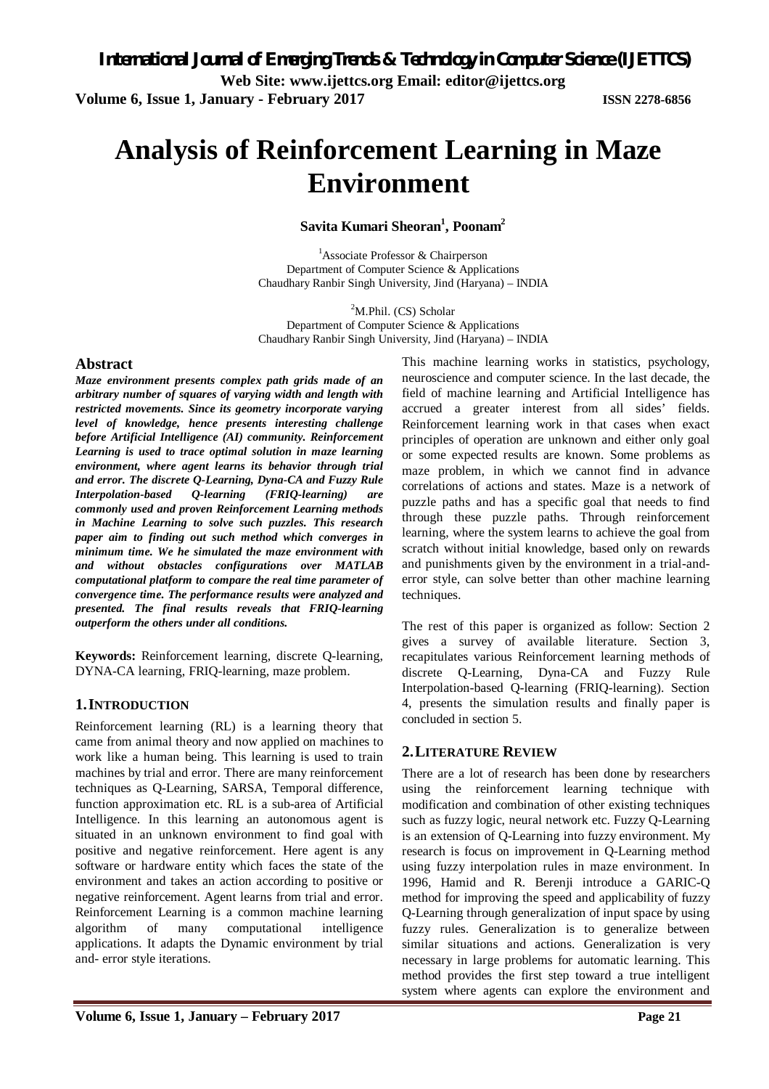# **Analysis of Reinforcement Learning in Maze Environment**

**Savita Kumari Sheoran<sup>1</sup> , Poonam<sup>2</sup>**

<sup>1</sup>Associate Professor & Chairperson Department of Computer Science & Applications Chaudhary Ranbir Singh University, Jind (Haryana) – INDIA

 ${}^{2}$ M.Phil. (CS) Scholar Department of Computer Science & Applications Chaudhary Ranbir Singh University, Jind (Haryana) – INDIA

#### **Abstract**

*Maze environment presents complex path grids made of an arbitrary number of squares of varying width and length with restricted movements. Since its geometry incorporate varying level of knowledge, hence presents interesting challenge before Artificial Intelligence (AI) community. Reinforcement Learning is used to trace optimal solution in maze learning environment, where agent learns its behavior through trial and error. The discrete Q-Learning, Dyna-CA and Fuzzy Rule Interpolation-based Q-learning (FRIQ-learning) are commonly used and proven Reinforcement Learning methods in Machine Learning to solve such puzzles. This research paper aim to finding out such method which converges in minimum time. We he simulated the maze environment with and without obstacles configurations over MATLAB computational platform to compare the real time parameter of convergence time. The performance results were analyzed and presented. The final results reveals that FRIQ-learning outperform the others under all conditions.* 

**Keywords:** Reinforcement learning, discrete Q-learning, DYNA-CA learning, FRIQ-learning, maze problem.

#### **1.INTRODUCTION**

Reinforcement learning (RL) is a learning theory that came from animal theory and now applied on machines to work like a human being. This learning is used to train machines by trial and error. There are many reinforcement techniques as Q-Learning, SARSA, Temporal difference, function approximation etc. RL is a sub-area of Artificial Intelligence. In this learning an autonomous agent is situated in an unknown environment to find goal with positive and negative reinforcement. Here agent is any software or hardware entity which faces the state of the environment and takes an action according to positive or negative reinforcement. Agent learns from trial and error. Reinforcement Learning is a common machine learning algorithm of many computational intelligence applications. It adapts the Dynamic environment by trial and- error style iterations.

This machine learning works in statistics, psychology, neuroscience and computer science. In the last decade, the field of machine learning and Artificial Intelligence has accrued a greater interest from all sides' fields. Reinforcement learning work in that cases when exact principles of operation are unknown and either only goal or some expected results are known. Some problems as maze problem, in which we cannot find in advance correlations of actions and states. Maze is a network of puzzle paths and has a specific goal that needs to find through these puzzle paths. Through reinforcement learning, where the system learns to achieve the goal from scratch without initial knowledge, based only on rewards and punishments given by the environment in a trial-anderror style, can solve better than other machine learning techniques.

The rest of this paper is organized as follow: Section 2 gives a survey of available literature. Section 3, recapitulates various Reinforcement learning methods of discrete Q-Learning, Dyna-CA and Fuzzy Rule Interpolation-based Q-learning (FRIQ-learning). Section 4, presents the simulation results and finally paper is concluded in section 5.

# **2.LITERATURE REVIEW**

There are a lot of research has been done by researchers using the reinforcement learning technique with modification and combination of other existing techniques such as fuzzy logic, neural network etc. Fuzzy Q-Learning is an extension of Q-Learning into fuzzy environment. My research is focus on improvement in Q-Learning method using fuzzy interpolation rules in maze environment. In 1996, Hamid and R. Berenji introduce a GARIC-Q method for improving the speed and applicability of fuzzy Q-Learning through generalization of input space by using fuzzy rules. Generalization is to generalize between similar situations and actions. Generalization is very necessary in large problems for automatic learning. This method provides the first step toward a true intelligent system where agents can explore the environment and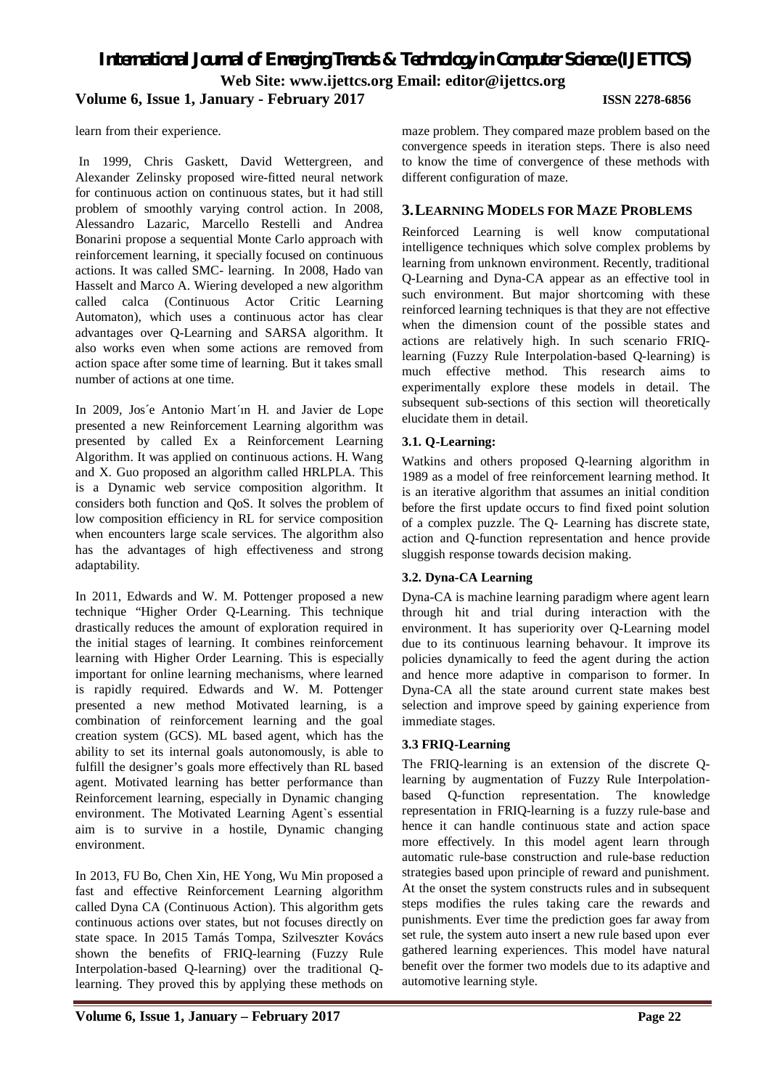*International Journal of Emerging Trends & Technology in Computer Science (IJETTCS)* **Web Site: www.ijettcs.org Email: editor@ijettcs.org Volume 6, Issue 1, January - February 2017 ISSN 2278-6856**

learn from their experience.

In 1999, Chris Gaskett, David Wettergreen, and Alexander Zelinsky proposed wire-fitted neural network for continuous action on continuous states, but it had still problem of smoothly varying control action. In 2008, Alessandro Lazaric, Marcello Restelli and Andrea Bonarini propose a sequential Monte Carlo approach with reinforcement learning, it specially focused on continuous actions. It was called SMC- learning. In 2008, Hado van Hasselt and Marco A. Wiering developed a new algorithm called calca (Continuous Actor Critic Learning Automaton), which uses a continuous actor has clear advantages over Q-Learning and SARSA algorithm. It also works even when some actions are removed from action space after some time of learning. But it takes small number of actions at one time.

In 2009, Jos´e Antonio Mart´ın H. and Javier de Lope presented a new Reinforcement Learning algorithm was presented by called Ex a Reinforcement Learning Algorithm. It was applied on continuous actions. H. Wang and X. Guo proposed an algorithm called HRLPLA. This is a Dynamic web service composition algorithm. It considers both function and QoS. It solves the problem of low composition efficiency in RL for service composition when encounters large scale services. The algorithm also has the advantages of high effectiveness and strong adaptability.

In 2011, Edwards and W. M. Pottenger proposed a new technique "Higher Order Q-Learning. This technique drastically reduces the amount of exploration required in the initial stages of learning. It combines reinforcement learning with Higher Order Learning. This is especially important for online learning mechanisms, where learned is rapidly required. Edwards and W. M. Pottenger presented a new method Motivated learning, is a combination of reinforcement learning and the goal creation system (GCS). ML based agent, which has the ability to set its internal goals autonomously, is able to fulfill the designer's goals more effectively than RL based agent. Motivated learning has better performance than Reinforcement learning, especially in Dynamic changing environment. The Motivated Learning Agent`s essential aim is to survive in a hostile, Dynamic changing environment.

In 2013, FU Bo, Chen Xin, HE Yong, Wu Min proposed a fast and effective Reinforcement Learning algorithm called Dyna CA (Continuous Action). This algorithm gets continuous actions over states, but not focuses directly on state space. In 2015 Tamás Tompa, Szilveszter Kovács shown the benefits of FRIQ-learning (Fuzzy Rule Interpolation-based Q-learning) over the traditional Qlearning. They proved this by applying these methods on maze problem. They compared maze problem based on the convergence speeds in iteration steps. There is also need to know the time of convergence of these methods with different configuration of maze.

#### **3.LEARNING MODELS FOR MAZE PROBLEMS**

Reinforced Learning is well know computational intelligence techniques which solve complex problems by learning from unknown environment. Recently, traditional Q-Learning and Dyna-CA appear as an effective tool in such environment. But major shortcoming with these reinforced learning techniques is that they are not effective when the dimension count of the possible states and actions are relatively high. In such scenario FRIQlearning (Fuzzy Rule Interpolation-based Q-learning) is much effective method. This research aims to experimentally explore these models in detail. The subsequent sub-sections of this section will theoretically elucidate them in detail.

#### **3.1. Q-Learning:**

Watkins and others proposed Q-learning algorithm in 1989 as a model of free reinforcement learning method. It is an iterative algorithm that assumes an initial condition before the first update occurs to find fixed point solution of a complex puzzle. The Q- Learning has discrete state, action and Q-function representation and hence provide sluggish response towards decision making.

### **3.2. Dyna-CA Learning**

Dyna-CA is machine learning paradigm where agent learn through hit and trial during interaction with the environment. It has superiority over Q-Learning model due to its continuous learning behavour. It improve its policies dynamically to feed the agent during the action and hence more adaptive in comparison to former. In Dyna-CA all the state around current state makes best selection and improve speed by gaining experience from immediate stages.

#### **3.3 FRIQ-Learning**

The FRIQ-learning is an extension of the discrete Qlearning by augmentation of Fuzzy Rule Interpolationbased Q-function representation. The knowledge representation in FRIQ-learning is a fuzzy rule-base and hence it can handle continuous state and action space more effectively. In this model agent learn through automatic rule-base construction and rule-base reduction strategies based upon principle of reward and punishment. At the onset the system constructs rules and in subsequent steps modifies the rules taking care the rewards and punishments. Ever time the prediction goes far away from set rule, the system auto insert a new rule based upon ever gathered learning experiences. This model have natural benefit over the former two models due to its adaptive and automotive learning style.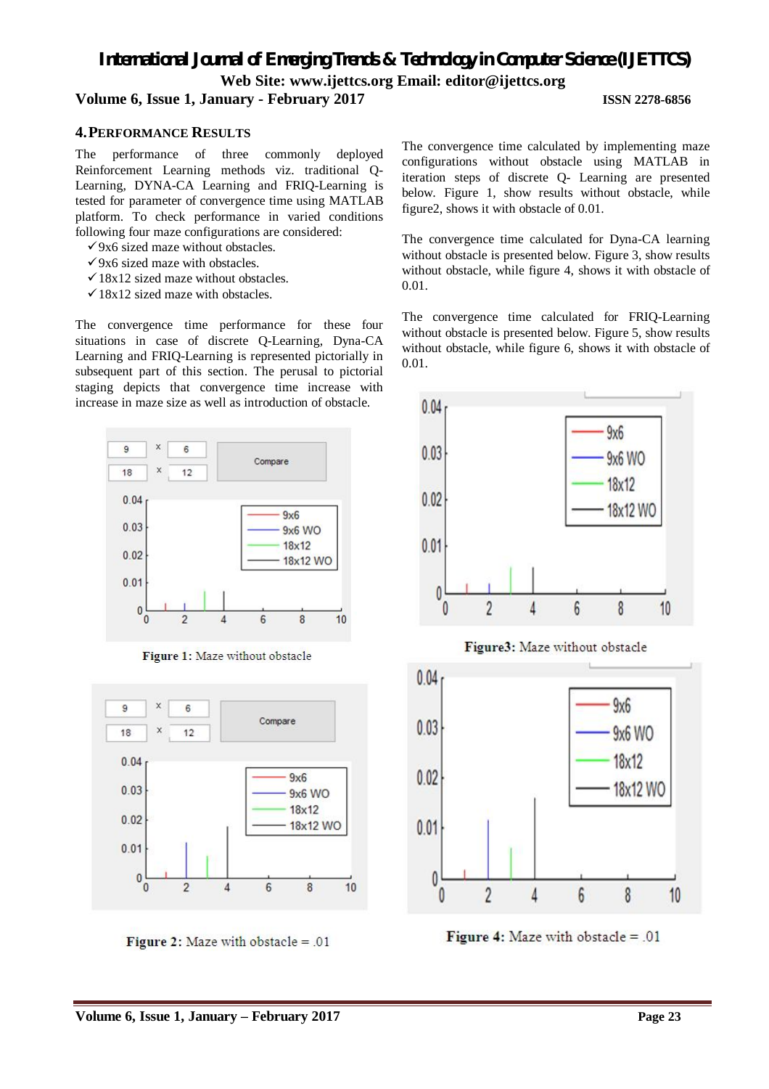# *International Journal of Emerging Trends & Technology in Computer Science (IJETTCS)* **Web Site: www.ijettcs.org Email: editor@ijettcs.org**

# **Volume 6, Issue 1, January - February 2017 ISSN 2278-6856**

#### **4.PERFORMANCE RESULTS**

The performance of three commonly deployed Reinforcement Learning methods viz. traditional Q-Learning, DYNA-CA Learning and FRIQ-Learning is tested for parameter of convergence time using MATLAB platform. To check performance in varied conditions following four maze configurations are considered:

- $\checkmark$ 9x6 sized maze without obstacles.
- $\checkmark$ 9x6 sized maze with obstacles.
- $\checkmark$  18x12 sized maze without obstacles.
- $\checkmark$  18x12 sized maze with obstacles.

The convergence time performance for these four situations in case of discrete Q-Learning, Dyna-CA Learning and FRIQ-Learning is represented pictorially in subsequent part of this section. The perusal to pictorial staging depicts that convergence time increase with increase in maze size as well as introduction of obstacle.



Figure 1: Maze without obstacle



Figure 2: Maze with obstacle  $= .01$ 

The convergence time calculated by implementing maze configurations without obstacle using MATLAB in iteration steps of discrete Q- Learning are presented below. Figure 1, show results without obstacle, while figure2, shows it with obstacle of 0.01.

The convergence time calculated for Dyna-CA learning without obstacle is presented below. Figure 3, show results without obstacle, while figure 4, shows it with obstacle of 0.01.

The convergence time calculated for FRIQ-Learning without obstacle is presented below. Figure 5, show results without obstacle, while figure 6, shows it with obstacle of 0.01.



Figure3: Maze without obstacle



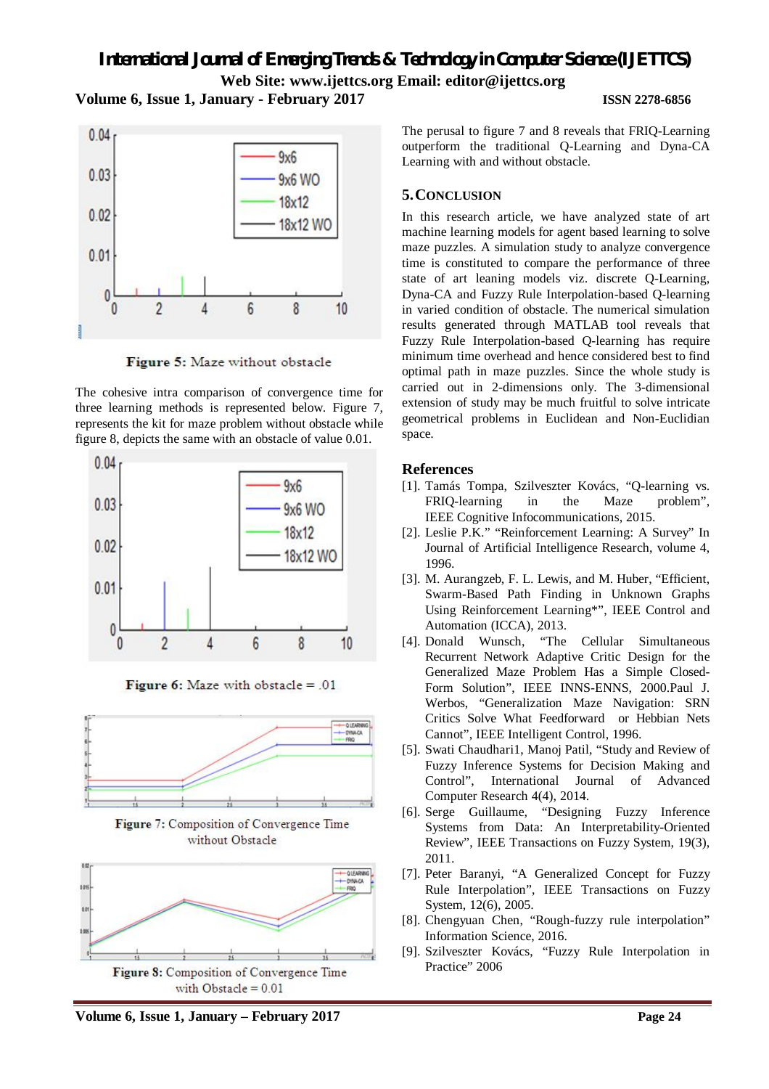*International Journal of Emerging Trends & Technology in Computer Science (IJETTCS)* **Web Site: www.ijettcs.org Email: editor@ijettcs.org Volume 6, Issue 1, January - February 2017 ISSN 2278-6856**





Figure 5: Maze without obstacle

The cohesive intra comparison of convergence time for three learning methods is represented below. Figure 7, represents the kit for maze problem without obstacle while figure 8, depicts the same with an obstacle of value 0.01.



Figure 6: Maze with obstacle  $= .01$ 



Figure 7: Composition of Convergence Time without Obstacle



The perusal to figure 7 and 8 reveals that FRIQ-Learning outperform the traditional Q-Learning and Dyna-CA Learning with and without obstacle.

# **5.CONCLUSION**

In this research article, we have analyzed state of art machine learning models for agent based learning to solve maze puzzles. A simulation study to analyze convergence time is constituted to compare the performance of three state of art leaning models viz. discrete Q-Learning, Dyna-CA and Fuzzy Rule Interpolation-based Q-learning in varied condition of obstacle. The numerical simulation results generated through MATLAB tool reveals that Fuzzy Rule Interpolation-based Q-learning has require minimum time overhead and hence considered best to find optimal path in maze puzzles. Since the whole study is carried out in 2-dimensions only. The 3-dimensional extension of study may be much fruitful to solve intricate geometrical problems in Euclidean and Non-Euclidian space.

### **References**

- [1]. Tamás Tompa, Szilveszter Kovács, "Q-learning vs. FRIQ-learning in the Maze problem", IEEE Cognitive Infocommunications, 2015.
- [2]. Leslie P.K." "Reinforcement Learning: A Survey" In Journal of Artificial Intelligence Research, volume 4, 1996.
- [3]. M. Aurangzeb, F. L. Lewis, and M. Huber, "Efficient, Swarm-Based Path Finding in Unknown Graphs Using Reinforcement Learning\*", IEEE Control and Automation (ICCA), 2013.
- [4]. Donald Wunsch, "The Cellular Simultaneous Recurrent Network Adaptive Critic Design for the Generalized Maze Problem Has a Simple Closed-Form Solution", IEEE INNS-ENNS, 2000.Paul J. Werbos, "Generalization Maze Navigation: SRN Critics Solve What Feedforward or Hebbian Nets Cannot", IEEE Intelligent Control, 1996.
- [5]. Swati Chaudhari1, Manoj Patil, "Study and Review of Fuzzy Inference Systems for Decision Making and Control", International Journal of Advanced Computer Research 4(4), 2014.
- [6]. Serge Guillaume, "Designing Fuzzy Inference Systems from Data: An Interpretability-Oriented Review", IEEE Transactions on Fuzzy System, 19(3), 2011.
- [7]. Peter Baranyi, "A Generalized Concept for Fuzzy Rule Interpolation", IEEE Transactions on Fuzzy System, 12(6), 2005.
- [8]. Chengyuan Chen, "Rough-fuzzy rule interpolation" Information Science, 2016.
- [9]. Szilveszter Kovács, "Fuzzy Rule Interpolation in Practice" 2006